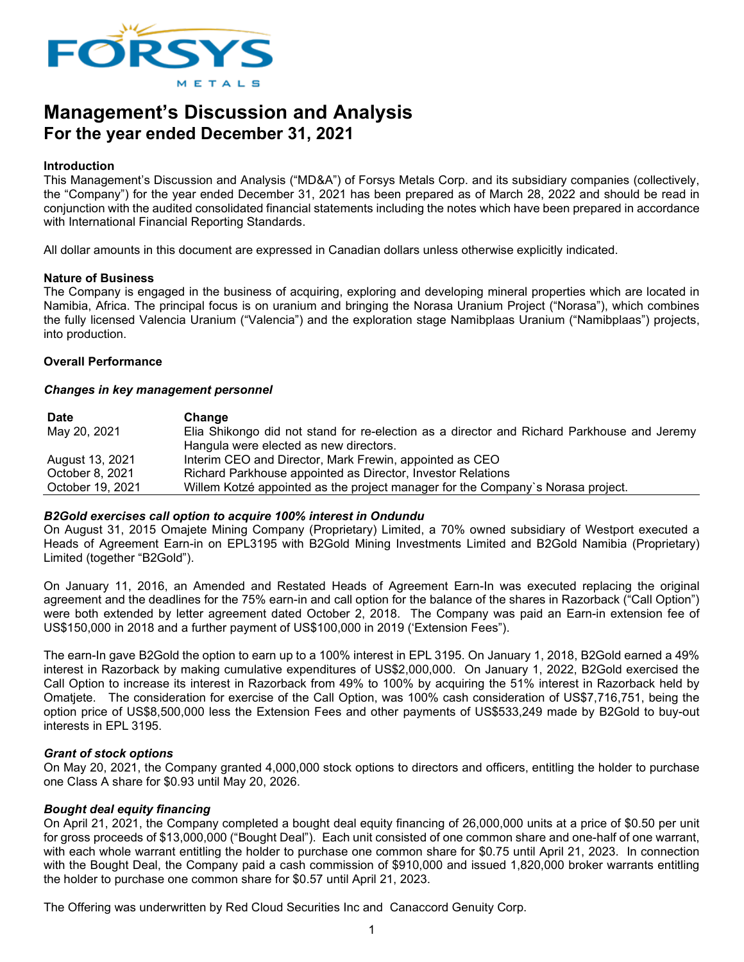

# **Management's Discussion and Analysis For the year ended December 31, 2021**

#### **Introduction**

This Management's Discussion and Analysis ("MD&A") of Forsys Metals Corp. and its subsidiary companies (collectively, the "Company") for the year ended December 31, 2021 has been prepared as of March 28, 2022 and should be read in conjunction with the audited consolidated financial statements including the notes which have been prepared in accordance with International Financial Reporting Standards.

All dollar amounts in this document are expressed in Canadian dollars unless otherwise explicitly indicated.

#### **Nature of Business**

The Company is engaged in the business of acquiring, exploring and developing mineral properties which are located in Namibia, Africa. The principal focus is on uranium and bringing the Norasa Uranium Project ("Norasa"), which combines the fully licensed Valencia Uranium ("Valencia") and the exploration stage Namibplaas Uranium ("Namibplaas") projects, into production.

#### **Overall Performance**

#### *Changes in key management personnel*

| <b>Date</b>      | Change                                                                                     |
|------------------|--------------------------------------------------------------------------------------------|
| May 20, 2021     | Elia Shikongo did not stand for re-election as a director and Richard Parkhouse and Jeremy |
|                  | Hangula were elected as new directors.                                                     |
| August 13, 2021  | Interim CEO and Director, Mark Frewin, appointed as CEO                                    |
| October 8, 2021  | Richard Parkhouse appointed as Director, Investor Relations                                |
| October 19, 2021 | Willem Kotzé appointed as the project manager for the Company's Norasa project.            |

#### *B2Gold exercises call option to acquire 100% interest in Ondundu*

On August 31, 2015 Omajete Mining Company (Proprietary) Limited, a 70% owned subsidiary of Westport executed a Heads of Agreement Earn-in on EPL3195 with B2Gold Mining Investments Limited and B2Gold Namibia (Proprietary) Limited (together "B2Gold").

On January 11, 2016, an Amended and Restated Heads of Agreement Earn-In was executed replacing the original agreement and the deadlines for the 75% earn-in and call option for the balance of the shares in Razorback ("Call Option") were both extended by letter agreement dated October 2, 2018. The Company was paid an Earn-in extension fee of US\$150,000 in 2018 and a further payment of US\$100,000 in 2019 ('Extension Fees").

The earn-In gave B2Gold the option to earn up to a 100% interest in EPL 3195. On January 1, 2018, B2Gold earned a 49% interest in Razorback by making cumulative expenditures of US\$2,000,000. On January 1, 2022, B2Gold exercised the Call Option to increase its interest in Razorback from 49% to 100% by acquiring the 51% interest in Razorback held by Omatjete. The consideration for exercise of the Call Option, was 100% cash consideration of US\$7,716,751, being the option price of US\$8,500,000 less the Extension Fees and other payments of US\$533,249 made by B2Gold to buy-out interests in EPL 3195.

#### *Grant of stock options*

On May 20, 2021, the Company granted 4,000,000 stock options to directors and officers, entitling the holder to purchase one Class A share for \$0.93 until May 20, 2026.

#### *Bought deal equity financing*

On April 21, 2021, the Company completed a bought deal equity financing of 26,000,000 units at a price of \$0.50 per unit for gross proceeds of \$13,000,000 ("Bought Deal"). Each unit consisted of one common share and one-half of one warrant, with each whole warrant entitling the holder to purchase one common share for \$0.75 until April 21, 2023. In connection with the Bought Deal, the Company paid a cash commission of \$910,000 and issued 1,820,000 broker warrants entitling the holder to purchase one common share for \$0.57 until April 21, 2023.

The Offering was underwritten by Red Cloud Securities Inc and Canaccord Genuity Corp.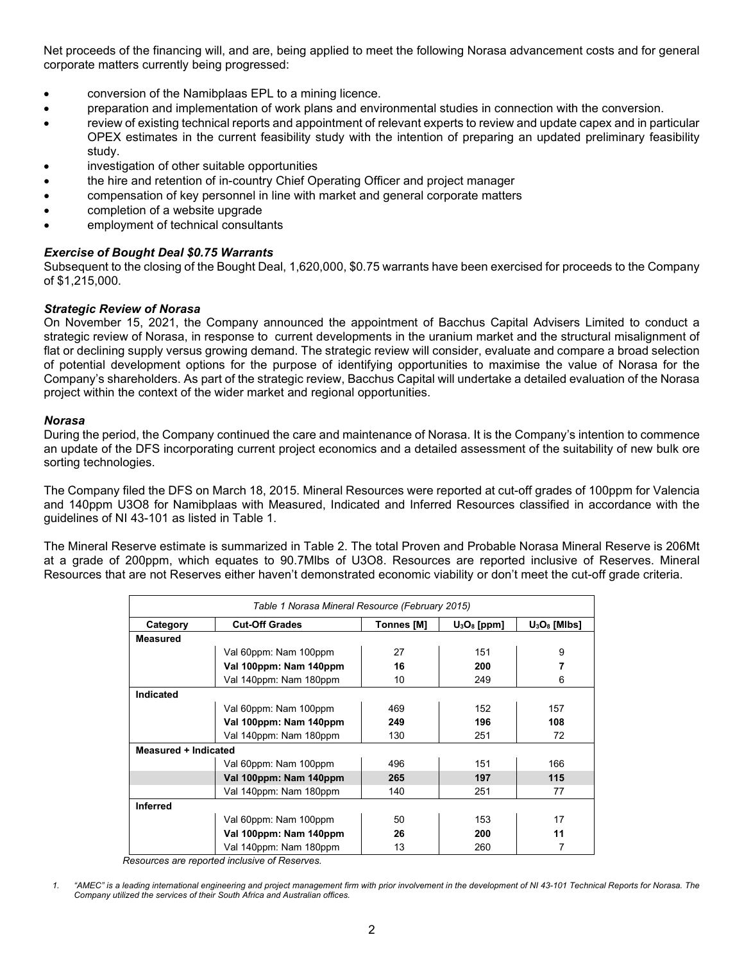Net proceeds of the financing will, and are, being applied to meet the following Norasa advancement costs and for general corporate matters currently being progressed:

- conversion of the Namibplaas EPL to a mining licence.
- preparation and implementation of work plans and environmental studies in connection with the conversion.
- review of existing technical reports and appointment of relevant experts to review and update capex and in particular OPEX estimates in the current feasibility study with the intention of preparing an updated preliminary feasibility study.
- investigation of other suitable opportunities
- the hire and retention of in-country Chief Operating Officer and project manager
- compensation of key personnel in line with market and general corporate matters
- completion of a website upgrade
- employment of technical consultants

# *Exercise of Bought Deal \$0.75 Warrants*

Subsequent to the closing of the Bought Deal, 1,620,000, \$0.75 warrants have been exercised for proceeds to the Company of \$1,215,000.

# *Strategic Review of Norasa*

On November 15, 2021, the Company announced the appointment of Bacchus Capital Advisers Limited to conduct a strategic review of Norasa, in response to current developments in the uranium market and the structural misalignment of flat or declining supply versus growing demand. The strategic review will consider, evaluate and compare a broad selection of potential development options for the purpose of identifying opportunities to maximise the value of Norasa for the Company's shareholders. As part of the strategic review, Bacchus Capital will undertake a detailed evaluation of the Norasa project within the context of the wider market and regional opportunities.

#### *Norasa*

During the period, the Company continued the care and maintenance of Norasa. It is the Company's intention to commence an update of the DFS incorporating current project economics and a detailed assessment of the suitability of new bulk ore sorting technologies.

The Company filed the DFS on March 18, 2015. Mineral Resources were reported at cut-off grades of 100ppm for Valencia and 140ppm U3O8 for Namibplaas with Measured, Indicated and Inferred Resources classified in accordance with the guidelines of NI 43-101 as listed in Table 1.

The Mineral Reserve estimate is summarized in Table 2. The total Proven and Probable Norasa Mineral Reserve is 206Mt at a grade of 200ppm, which equates to 90.7Mlbs of U3O8. Resources are reported inclusive of Reserves. Mineral Resources that are not Reserves either haven't demonstrated economic viability or don't meet the cut-off grade criteria.

| Table 1 Norasa Mineral Resource (February 2015) |                                                                                 |     |     |     |  |  |
|-------------------------------------------------|---------------------------------------------------------------------------------|-----|-----|-----|--|--|
| Category                                        | $U_3O_8$ [MIbs]<br><b>Cut-Off Grades</b><br>$U_3O_8$ [ppm]<br><b>Tonnes [M]</b> |     |     |     |  |  |
| <b>Measured</b>                                 |                                                                                 |     |     |     |  |  |
|                                                 | Val 60ppm: Nam 100ppm                                                           | 27  | 151 | 9   |  |  |
|                                                 | Val 100ppm: Nam 140ppm                                                          | 16  | 200 |     |  |  |
|                                                 | Val 140ppm: Nam 180ppm                                                          | 10  | 249 | 6   |  |  |
| Indicated                                       |                                                                                 |     |     |     |  |  |
|                                                 | Val 60ppm: Nam 100ppm                                                           | 469 | 152 | 157 |  |  |
|                                                 | Val 100ppm: Nam 140ppm                                                          | 249 | 196 | 108 |  |  |
|                                                 | Val 140ppm: Nam 180ppm                                                          | 130 | 251 | 72  |  |  |
| Measured + Indicated                            |                                                                                 |     |     |     |  |  |
|                                                 | Val 60ppm: Nam 100ppm                                                           | 496 | 151 | 166 |  |  |
|                                                 | Val 100ppm: Nam 140ppm                                                          | 265 | 197 | 115 |  |  |
|                                                 | Val 140ppm: Nam 180ppm                                                          | 140 | 251 | 77  |  |  |
| <b>Inferred</b>                                 |                                                                                 |     |     |     |  |  |
|                                                 | Val 60ppm: Nam 100ppm                                                           | 50  | 153 | 17  |  |  |
|                                                 | Val 100ppm: Nam 140ppm                                                          | 26  | 200 | 11  |  |  |
|                                                 | Val 140ppm: Nam 180ppm                                                          | 13  | 260 | 7   |  |  |

 *Resources are reported inclusive of Reserves.*

*<sup>1.</sup> "AMEC" is a leading international engineering and project management firm with prior involvement in the development of NI 43-101 Technical Reports for Norasa. The Company utilized the services of their South Africa and Australian offices.*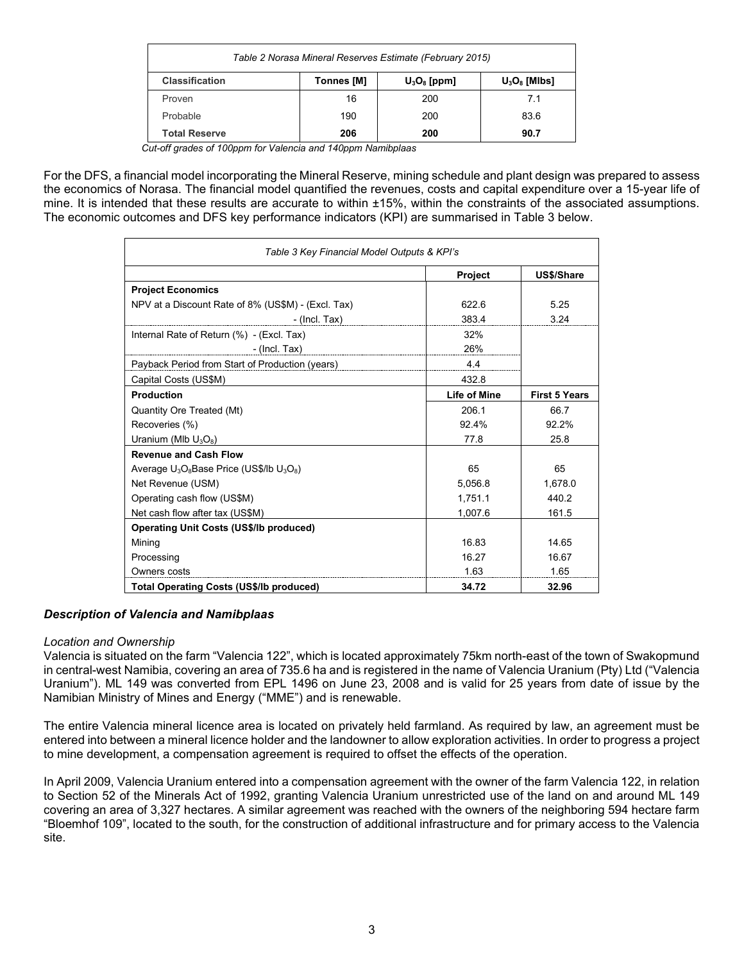| Table 2 Norasa Mineral Reserves Estimate (February 2015)                        |     |     |      |  |
|---------------------------------------------------------------------------------|-----|-----|------|--|
| <b>Classification</b><br>$U_3O_8$ [Mibs]<br><b>Tonnes [M]</b><br>$U_3O_8$ [ppm] |     |     |      |  |
| Proven                                                                          | 16  | 200 | 7.1  |  |
| Probable                                                                        | 190 | 200 | 83.6 |  |
| <b>Total Reserve</b>                                                            | 206 | 200 | 90.7 |  |

 *Cut-off grades of 100ppm for Valencia and 140ppm Namibplaas*

For the DFS, a financial model incorporating the Mineral Reserve, mining schedule and plant design was prepared to assess the economics of Norasa. The financial model quantified the revenues, costs and capital expenditure over a 15-year life of mine. It is intended that these results are accurate to within ±15%, within the constraints of the associated assumptions. The economic outcomes and DFS key performance indicators (KPI) are summarised in Table 3 below.

| Table 3 Key Financial Model Outputs & KPI's        |                     |                      |  |
|----------------------------------------------------|---------------------|----------------------|--|
|                                                    | <b>Project</b>      | US\$/Share           |  |
| <b>Project Economics</b>                           |                     |                      |  |
| NPV at a Discount Rate of 8% (US\$M) - (Excl. Tax) | 622.6               | 5.25                 |  |
| - (Incl. Tax)                                      | 383.4               | 3.24                 |  |
| Internal Rate of Return (%) - (Excl. Tax)          | 32%                 |                      |  |
| - (Incl. Tax)                                      | 26%                 |                      |  |
| Payback Period from Start of Production (years)    | 4.4                 |                      |  |
| Capital Costs (US\$M)                              | 432.8               |                      |  |
| <b>Production</b>                                  | <b>Life of Mine</b> | <b>First 5 Years</b> |  |
| Quantity Ore Treated (Mt)                          | 206.1               | 66.7                 |  |
| Recoveries (%)                                     | 92.4%               | 92.2%                |  |
| Uranium (MIb $U_3O_8$ )                            | 77.8                | 25.8                 |  |
| <b>Revenue and Cash Flow</b>                       |                     |                      |  |
| Average $U_3O_8$ Base Price (US\$/lb $U_3O_8$ )    | 65                  | 65                   |  |
| Net Revenue (USM)                                  | 5,056.8             | 1,678.0              |  |
| Operating cash flow (US\$M)                        | 1,751.1             | 440.2                |  |
| Net cash flow after tax (US\$M)                    | 1,007.6             | 161.5                |  |
| <b>Operating Unit Costs (US\$/lb produced)</b>     |                     |                      |  |
| Mining                                             | 16.83               | 14.65                |  |
| Processing                                         | 16.27               | 16.67                |  |
| Owners costs                                       | 1.63                | 1.65                 |  |
| <b>Total Operating Costs (US\$/Ib produced)</b>    | 34.72               | 32.96                |  |

# *Description of Valencia and Namibplaas*

#### *Location and Ownership*

Valencia is situated on the farm "Valencia 122", which is located approximately 75km north-east of the town of Swakopmund in central-west Namibia, covering an area of 735.6 ha and is registered in the name of Valencia Uranium (Pty) Ltd ("Valencia Uranium"). ML 149 was converted from EPL 1496 on June 23, 2008 and is valid for 25 years from date of issue by the Namibian Ministry of Mines and Energy ("MME") and is renewable.

The entire Valencia mineral licence area is located on privately held farmland. As required by law, an agreement must be entered into between a mineral licence holder and the landowner to allow exploration activities. In order to progress a project to mine development, a compensation agreement is required to offset the effects of the operation.

In April 2009, Valencia Uranium entered into a compensation agreement with the owner of the farm Valencia 122, in relation to Section 52 of the Minerals Act of 1992, granting Valencia Uranium unrestricted use of the land on and around ML 149 covering an area of 3,327 hectares. A similar agreement was reached with the owners of the neighboring 594 hectare farm "Bloemhof 109", located to the south, for the construction of additional infrastructure and for primary access to the Valencia site.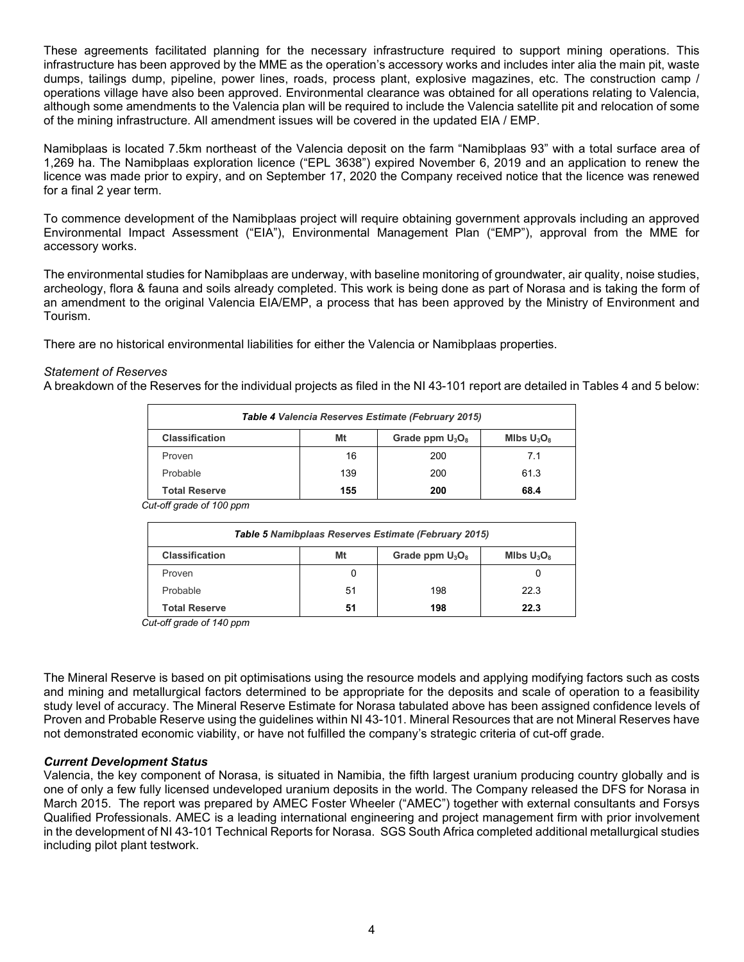These agreements facilitated planning for the necessary infrastructure required to support mining operations. This infrastructure has been approved by the MME as the operation's accessory works and includes inter alia the main pit, waste dumps, tailings dump, pipeline, power lines, roads, process plant, explosive magazines, etc. The construction camp / operations village have also been approved. Environmental clearance was obtained for all operations relating to Valencia, although some amendments to the Valencia plan will be required to include the Valencia satellite pit and relocation of some of the mining infrastructure. All amendment issues will be covered in the updated EIA / EMP.

Namibplaas is located 7.5km northeast of the Valencia deposit on the farm "Namibplaas 93" with a total surface area of 1,269 ha. The Namibplaas exploration licence ("EPL 3638") expired November 6, 2019 and an application to renew the licence was made prior to expiry, and on September 17, 2020 the Company received notice that the licence was renewed for a final 2 year term.

To commence development of the Namibplaas project will require obtaining government approvals including an approved Environmental Impact Assessment ("EIA"), Environmental Management Plan ("EMP"), approval from the MME for accessory works.

The environmental studies for Namibplaas are underway, with baseline monitoring of groundwater, air quality, noise studies, archeology, flora & fauna and soils already completed. This work is being done as part of Norasa and is taking the form of an amendment to the original Valencia EIA/EMP, a process that has been approved by the Ministry of Environment and Tourism.

There are no historical environmental liabilities for either the Valencia or Namibplaas properties.

# *Statement of Reserves*

A breakdown of the Reserves for the individual projects as filed in the NI 43-101 report are detailed in Tables 4 and 5 below:

| Table 4 Valencia Reserves Estimate (February 2015)                 |     |     |      |  |  |
|--------------------------------------------------------------------|-----|-----|------|--|--|
| <b>Classification</b><br>Mt<br>Grade ppm $U_3O_8$<br>MIbs $U_3O_8$ |     |     |      |  |  |
| Proven                                                             | 16  | 200 | 7.1  |  |  |
| Probable                                                           | 139 | 200 | 61.3 |  |  |
| <b>Total Reserve</b><br>155<br>200<br>68.4                         |     |     |      |  |  |

 *Cut-off grade of 100 ppm*

| Table 5 Namibplaas Reserves Estimate (February 2015)               |    |     |      |  |  |  |
|--------------------------------------------------------------------|----|-----|------|--|--|--|
| <b>Classification</b><br>Mt<br>Grade ppm $U_3O_8$<br>Mlbs $U_3O_8$ |    |     |      |  |  |  |
| Proven                                                             |    |     |      |  |  |  |
| Probable                                                           | 51 | 198 | 22.3 |  |  |  |
| 22.3<br><b>Total Reserve</b><br>198<br>51                          |    |     |      |  |  |  |

 *Cut-off grade of 140 ppm*

The Mineral Reserve is based on pit optimisations using the resource models and applying modifying factors such as costs and mining and metallurgical factors determined to be appropriate for the deposits and scale of operation to a feasibility study level of accuracy. The Mineral Reserve Estimate for Norasa tabulated above has been assigned confidence levels of Proven and Probable Reserve using the guidelines within NI 43-101. Mineral Resources that are not Mineral Reserves have not demonstrated economic viability, or have not fulfilled the company's strategic criteria of cut-off grade.

#### *Current Development Status*

Valencia, the key component of Norasa, is situated in Namibia, the fifth largest uranium producing country globally and is one of only a few fully licensed undeveloped uranium deposits in the world. The Company released the DFS for Norasa in March 2015. The report was prepared by AMEC Foster Wheeler ("AMEC") together with external consultants and Forsys Qualified Professionals. AMEC is a leading international engineering and project management firm with prior involvement in the development of NI 43-101 Technical Reports for Norasa. SGS South Africa completed additional metallurgical studies including pilot plant testwork.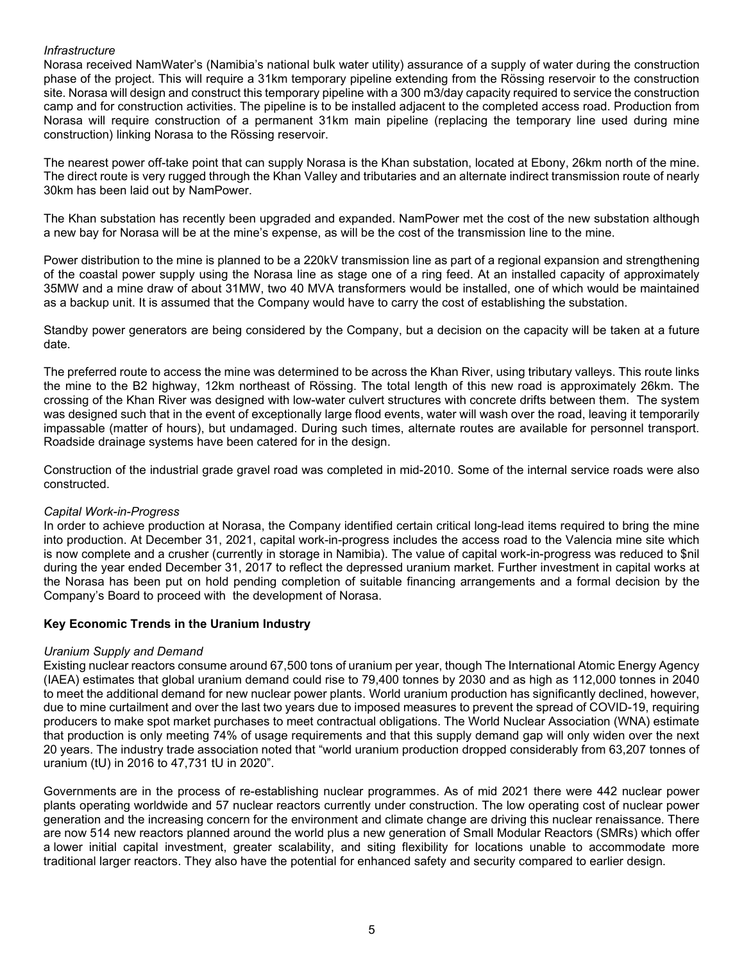#### *Infrastructure*

Norasa received NamWater's (Namibia's national bulk water utility) assurance of a supply of water during the construction phase of the project. This will require a 31km temporary pipeline extending from the Rössing reservoir to the construction site. Norasa will design and construct this temporary pipeline with a 300 m3/day capacity required to service the construction camp and for construction activities. The pipeline is to be installed adjacent to the completed access road. Production from Norasa will require construction of a permanent 31km main pipeline (replacing the temporary line used during mine construction) linking Norasa to the Rössing reservoir.

The nearest power off-take point that can supply Norasa is the Khan substation, located at Ebony, 26km north of the mine. The direct route is very rugged through the Khan Valley and tributaries and an alternate indirect transmission route of nearly 30km has been laid out by NamPower.

The Khan substation has recently been upgraded and expanded. NamPower met the cost of the new substation although a new bay for Norasa will be at the mine's expense, as will be the cost of the transmission line to the mine.

Power distribution to the mine is planned to be a 220kV transmission line as part of a regional expansion and strengthening of the coastal power supply using the Norasa line as stage one of a ring feed. At an installed capacity of approximately 35MW and a mine draw of about 31MW, two 40 MVA transformers would be installed, one of which would be maintained as a backup unit. It is assumed that the Company would have to carry the cost of establishing the substation.

Standby power generators are being considered by the Company, but a decision on the capacity will be taken at a future date.

The preferred route to access the mine was determined to be across the Khan River, using tributary valleys. This route links the mine to the B2 highway, 12km northeast of Rössing. The total length of this new road is approximately 26km. The crossing of the Khan River was designed with low-water culvert structures with concrete drifts between them. The system was designed such that in the event of exceptionally large flood events, water will wash over the road, leaving it temporarily impassable (matter of hours), but undamaged. During such times, alternate routes are available for personnel transport. Roadside drainage systems have been catered for in the design.

Construction of the industrial grade gravel road was completed in mid-2010. Some of the internal service roads were also constructed.

#### *Capital Work-in-Progress*

In order to achieve production at Norasa, the Company identified certain critical long-lead items required to bring the mine into production. At December 31, 2021, capital work-in-progress includes the access road to the Valencia mine site which is now complete and a crusher (currently in storage in Namibia). The value of capital work-in-progress was reduced to \$nil during the year ended December 31, 2017 to reflect the depressed uranium market. Further investment in capital works at the Norasa has been put on hold pending completion of suitable financing arrangements and a formal decision by the Company's Board to proceed with the development of Norasa.

# **Key Economic Trends in the Uranium Industry**

#### *Uranium Supply and Demand*

Existing nuclear reactors consume around 67,500 tons of uranium per year, though The International Atomic Energy Agency (IAEA) estimates that global uranium demand could rise to 79,400 tonnes by 2030 and as high as 112,000 tonnes in 2040 to meet the additional demand for new nuclear power plants. World uranium production has significantly declined, however, due to mine curtailment and over the last two years due to imposed measures to prevent the spread of COVID-19, requiring producers to make spot market purchases to meet contractual obligations. The World Nuclear Association (WNA) estimate that production is only meeting 74% of usage requirements and that this supply demand gap will only widen over the next 20 years. The industry trade association noted that "world uranium production dropped considerably from 63,207 tonnes of uranium (tU) in 2016 to 47,731 tU in 2020".

Governments are in the process of re-establishing nuclear programmes. As of mid 2021 there were 442 nuclear power plants operating worldwide and 57 nuclear reactors currently under construction. The low operating cost of nuclear power generation and the increasing concern for the environment and climate change are driving this nuclear renaissance. There are now 514 new reactors planned around the world plus a new generation of Small Modular Reactors (SMRs) which offer a lower initial capital investment, greater scalability, and siting flexibility for locations unable to accommodate more traditional larger reactors. They also have the potential for enhanced safety and security compared to earlier design.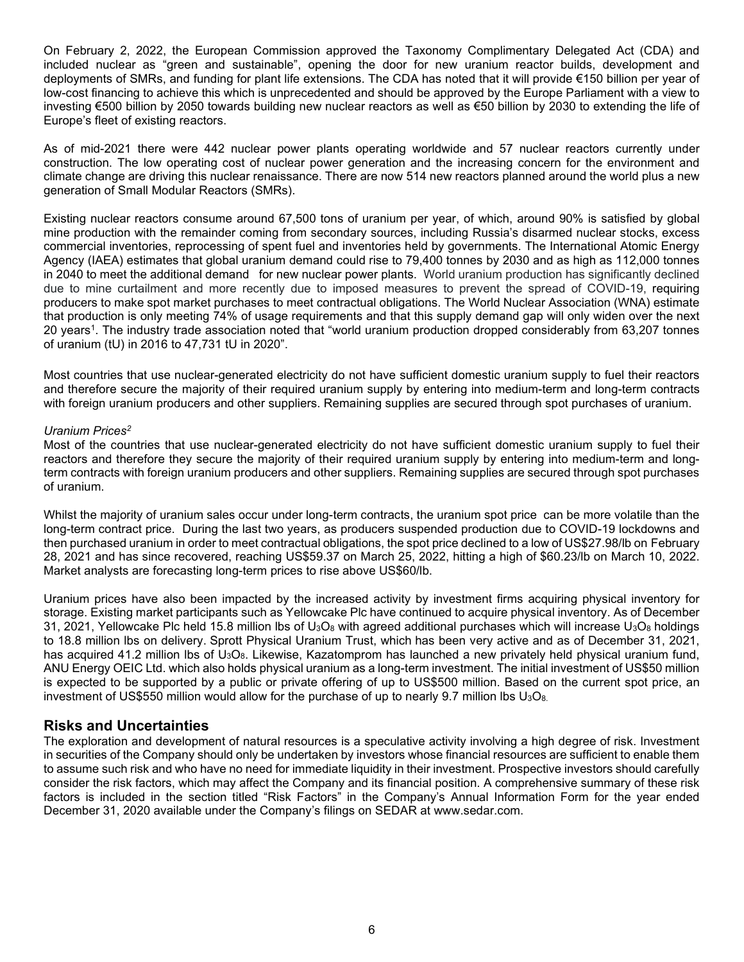On February 2, 2022, the European Commission approved the Taxonomy Complimentary Delegated Act (CDA) and included nuclear as "green and sustainable", opening the door for new uranium reactor builds, development and deployments of SMRs, and funding for plant life extensions. The CDA has noted that it will provide €150 billion per year of low-cost financing to achieve this which is unprecedented and should be approved by the Europe Parliament with a view to investing €500 billion by 2050 towards building new nuclear reactors as well as €50 billion by 2030 to extending the life of Europe's fleet of existing reactors.

As of mid-2021 there were 442 nuclear power plants operating worldwide and 57 nuclear reactors currently under construction. The low operating cost of nuclear power generation and the increasing concern for the environment and climate change are driving this nuclear renaissance. There are now 514 new reactors planned around the world plus a new generation of Small Modular Reactors (SMRs).

Existing nuclear reactors consume around 67,500 tons of uranium per year, of which, around 90% is satisfied by global mine production with the remainder coming from secondary sources, including Russia's disarmed nuclear stocks, excess commercial inventories, reprocessing of spent fuel and inventories held by governments. The International Atomic Energy Agency (IAEA) estimates that global uranium demand could rise to 79,400 tonnes by 2030 and as high as 112,000 tonnes in 2040 to meet the additional demand for new nuclear power plants. World uranium production has significantly declined due to mine curtailment and more recently due to imposed measures to prevent the spread of COVID-19, requiring producers to make spot market purchases to meet contractual obligations. The World Nuclear Association (WNA) estimate that production is only meeting 74% of usage requirements and that this supply demand gap will only widen over the next 20 years1. The industry trade association noted that "world uranium production dropped considerably from 63,207 tonnes of uranium (tU) in 2016 to 47,731 tU in 2020".

Most countries that use nuclear-generated electricity do not have sufficient domestic uranium supply to fuel their reactors and therefore secure the majority of their required uranium supply by entering into medium-term and long-term contracts with foreign uranium producers and other suppliers. Remaining supplies are secured through spot purchases of uranium.

#### *Uranium Prices2*

Most of the countries that use nuclear-generated electricity do not have sufficient domestic uranium supply to fuel their reactors and therefore they secure the majority of their required uranium supply by entering into medium-term and longterm contracts with foreign uranium producers and other suppliers. Remaining supplies are secured through spot purchases of uranium.

Whilst the majority of uranium sales occur under long-term contracts, the uranium spot price can be more volatile than the long-term contract price. During the last two years, as producers suspended production due to COVID-19 lockdowns and then purchased uranium in order to meet contractual obligations, the spot price declined to a low of US\$27.98/lb on February 28, 2021 and has since recovered, reaching US\$59.37 on March 25, 2022, hitting a high of \$60.23/lb on March 10, 2022. Market analysts are forecasting long-term prices to rise above US\$60/lb.

Uranium prices have also been impacted by the increased activity by investment firms acquiring physical inventory for storage. Existing market participants such as Yellowcake Plc have continued to acquire physical inventory. As of December 31, 2021, Yellowcake Plc held 15.8 million lbs of U<sub>3</sub>O<sub>8</sub> with agreed additional purchases which will increase U<sub>3</sub>O<sub>8</sub> holdings to 18.8 million lbs on delivery. Sprott Physical Uranium Trust, which has been very active and as of December 31, 2021, has acquired 41.2 million lbs of U<sub>3</sub>O<sub>8</sub>. Likewise, Kazatomprom has launched a new privately held physical uranium fund, ANU Energy OEIC Ltd. which also holds physical uranium as a long-term investment. The initial investment of US\$50 million is expected to be supported by a public or private offering of up to US\$500 million. Based on the current spot price, an investment of US\$550 million would allow for the purchase of up to nearly 9.7 million lbs  $U_3O_8$ .

# **Risks and Uncertainties**

The exploration and development of natural resources is a speculative activity involving a high degree of risk. Investment in securities of the Company should only be undertaken by investors whose financial resources are sufficient to enable them to assume such risk and who have no need for immediate liquidity in their investment. Prospective investors should carefully consider the risk factors, which may affect the Company and its financial position. A comprehensive summary of these risk factors is included in the section titled "Risk Factors" in the Company's Annual Information Form for the year ended December 31, 2020 available under the Company's filings on SEDAR at [www.sedar.com.](http://www.sedar.com.l/)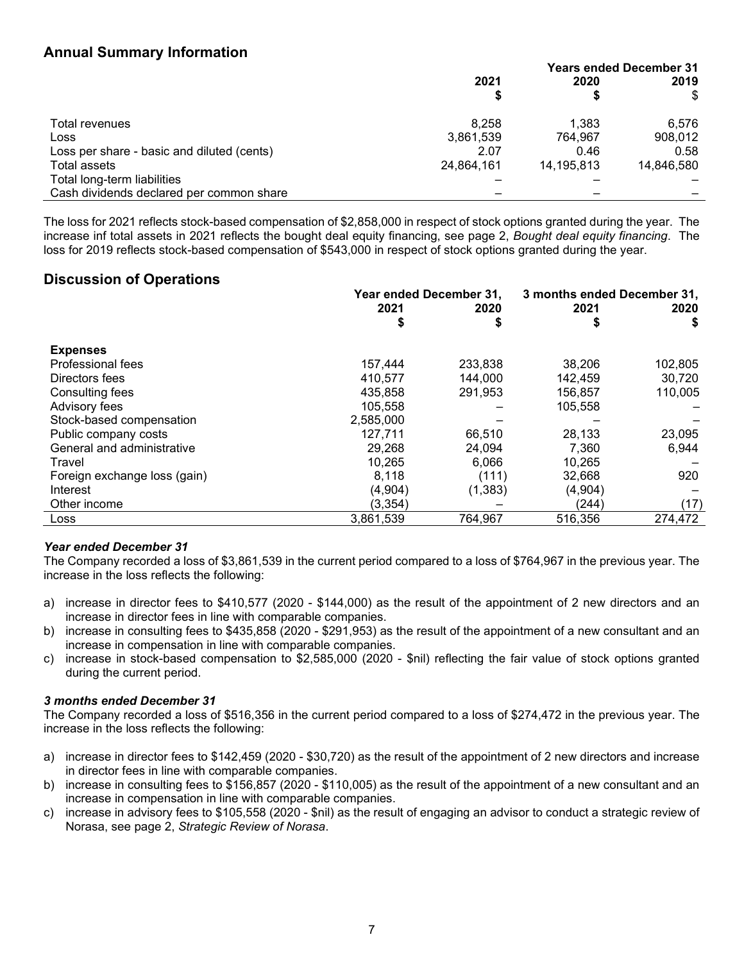# **Annual Summary Information**

|                                            |            | <b>Years ended December 31</b> |            |
|--------------------------------------------|------------|--------------------------------|------------|
|                                            | 2021       | 2020                           | 2019       |
|                                            |            |                                | \$         |
| Total revenues                             | 8.258      | 1.383                          | 6,576      |
| Loss                                       | 3,861,539  | 764.967                        | 908,012    |
| Loss per share - basic and diluted (cents) | 2.07       | 0.46                           | 0.58       |
| Total assets                               | 24,864,161 | 14.195.813                     | 14.846.580 |
| Total long-term liabilities                |            |                                |            |
| Cash dividends declared per common share   |            |                                |            |

The loss for 2021 reflects stock-based compensation of \$2,858,000 in respect of stock options granted during the year. The increase inf total assets in 2021 reflects the bought deal equity financing, see page 2, *Bought deal equity financing*. The loss for 2019 reflects stock-based compensation of \$543,000 in respect of stock options granted during the year.

# **Discussion of Operations**

|                              | Year ended December 31, |          | 3 months ended December 31, |         |
|------------------------------|-------------------------|----------|-----------------------------|---------|
|                              | 2021                    | 2020     | 2021                        | 2020    |
|                              | \$                      |          | \$                          | \$      |
| <b>Expenses</b>              |                         |          |                             |         |
| Professional fees            | 157,444                 | 233,838  | 38.206                      | 102,805 |
| Directors fees               | 410,577                 | 144,000  | 142,459                     | 30,720  |
| Consulting fees              | 435,858                 | 291,953  | 156,857                     | 110,005 |
| Advisory fees                | 105,558                 |          | 105,558                     |         |
| Stock-based compensation     | 2,585,000               |          |                             |         |
| Public company costs         | 127,711                 | 66,510   | 28,133                      | 23,095  |
| General and administrative   | 29,268                  | 24.094   | 7.360                       | 6,944   |
| Travel                       | 10,265                  | 6.066    | 10,265                      |         |
| Foreign exchange loss (gain) | 8,118                   | (111)    | 32,668                      | 920     |
| Interest                     | (4,904)                 | (1, 383) | (4,904)                     |         |
| Other income                 | (3, 354)                |          | (244)                       | (17)    |
| Loss                         | 3,861,539               | 764,967  | 516,356                     | 274,472 |

# *Year ended December 31*

The Company recorded a loss of \$3,861,539 in the current period compared to a loss of \$764,967 in the previous year. The increase in the loss reflects the following:

- a) increase in director fees to \$410,577 (2020 \$144,000) as the result of the appointment of 2 new directors and an increase in director fees in line with comparable companies.
- b) increase in consulting fees to \$435,858 (2020 \$291,953) as the result of the appointment of a new consultant and an increase in compensation in line with comparable companies.
- c) increase in stock-based compensation to \$2,585,000 (2020 \$nil) reflecting the fair value of stock options granted during the current period.

# *3 months ended December 31*

The Company recorded a loss of \$516,356 in the current period compared to a loss of \$274,472 in the previous year. The increase in the loss reflects the following:

- a) increase in director fees to \$142,459 (2020 \$30,720) as the result of the appointment of 2 new directors and increase in director fees in line with comparable companies.
- b) increase in consulting fees to \$156,857 (2020 \$110,005) as the result of the appointment of a new consultant and an increase in compensation in line with comparable companies.
- c) increase in advisory fees to \$105,558 (2020 \$nil) as the result of engaging an advisor to conduct a strategic review of Norasa, see page 2, *Strategic Review of Norasa*.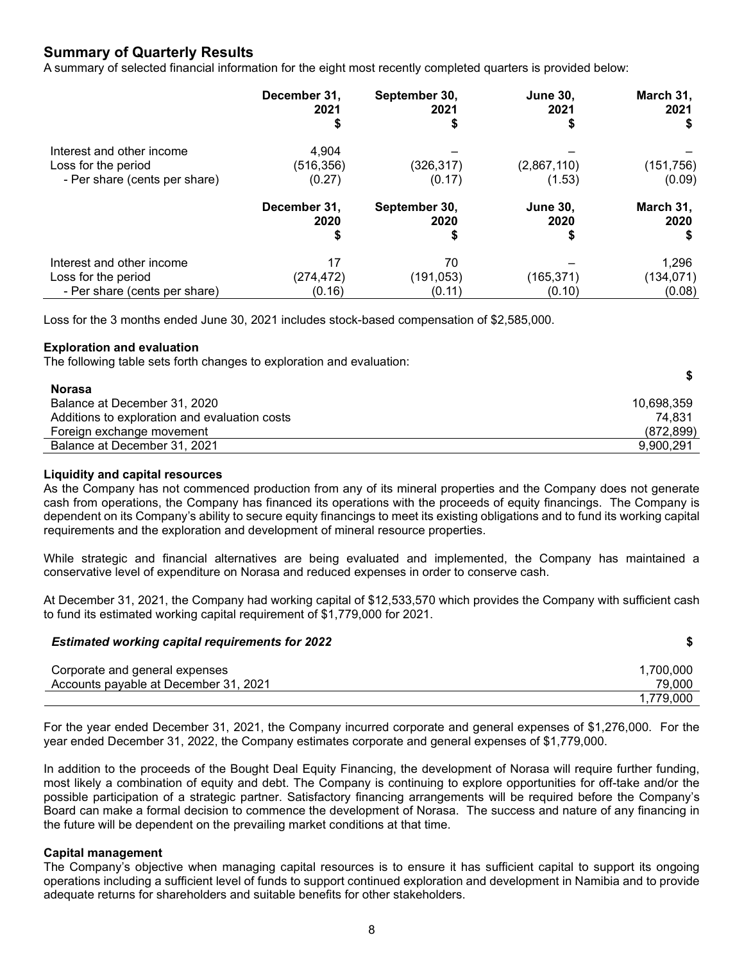# **Summary of Quarterly Results**

A summary of selected financial information for the eight most recently completed quarters is provided below:

|                                                                                   | December 31,                 | September 30,              | <b>June 30,</b>       | March 31,                     |
|-----------------------------------------------------------------------------------|------------------------------|----------------------------|-----------------------|-------------------------------|
|                                                                                   | 2021                         | 2021                       | 2021                  | 2021                          |
| Interest and other income<br>Loss for the period<br>- Per share (cents per share) | 4,904<br>(516,356)<br>(0.27) | (326, 317)<br>(0.17)       | (2,867,110)<br>(1.53) | (151, 756)<br>(0.09)          |
|                                                                                   | December 31,                 | September 30,              | <b>June 30,</b>       | March 31,                     |
|                                                                                   | 2020                         | 2020                       | 2020                  | 2020                          |
| Interest and other income<br>Loss for the period<br>- Per share (cents per share) | 17<br>(274, 472)<br>(0.16)   | 70<br>(191, 053)<br>(0.11) | (165, 371)<br>(0.10)  | 1,296<br>(134, 071)<br>(0.08) |

Loss for the 3 months ended June 30, 2021 includes stock-based compensation of \$2,585,000.

#### **Exploration and evaluation**

The following table sets forth changes to exploration and evaluation:

#### **Norasa**

| .                                             |            |
|-----------------------------------------------|------------|
| Balance at December 31, 2020                  | 10.698.359 |
| Additions to exploration and evaluation costs | 74.831     |
| Foreign exchange movement                     | (872, 899) |
| Balance at December 31, 2021                  | 9.900.291  |

**\$**

#### **Liquidity and capital resources**

As the Company has not commenced production from any of its mineral properties and the Company does not generate cash from operations, the Company has financed its operations with the proceeds of equity financings. The Company is dependent on its Company's ability to secure equity financings to meet its existing obligations and to fund its working capital requirements and the exploration and development of mineral resource properties.

While strategic and financial alternatives are being evaluated and implemented, the Company has maintained a conservative level of expenditure on Norasa and reduced expenses in order to conserve cash.

At December 31, 2021, the Company had working capital of \$12,533,570 which provides the Company with sufficient cash to fund its estimated working capital requirement of \$1,779,000 for 2021.

#### *Estimated working capital requirements for 2022* **\$**

| Corporate and general expenses        | 1,700,000 |
|---------------------------------------|-----------|
| Accounts payable at December 31, 2021 | 79,000    |
|                                       | 1.779.000 |

For the year ended December 31, 2021, the Company incurred corporate and general expenses of \$1,276,000. For the year ended December 31, 2022, the Company estimates corporate and general expenses of \$1,779,000.

In addition to the proceeds of the Bought Deal Equity Financing, the development of Norasa will require further funding, most likely a combination of equity and debt. The Company is continuing to explore opportunities for off-take and/or the possible participation of a strategic partner. Satisfactory financing arrangements will be required before the Company's Board can make a formal decision to commence the development of Norasa. The success and nature of any financing in the future will be dependent on the prevailing market conditions at that time.

#### **Capital management**

The Company's objective when managing capital resources is to ensure it has sufficient capital to support its ongoing operations including a sufficient level of funds to support continued exploration and development in Namibia and to provide adequate returns for shareholders and suitable benefits for other stakeholders.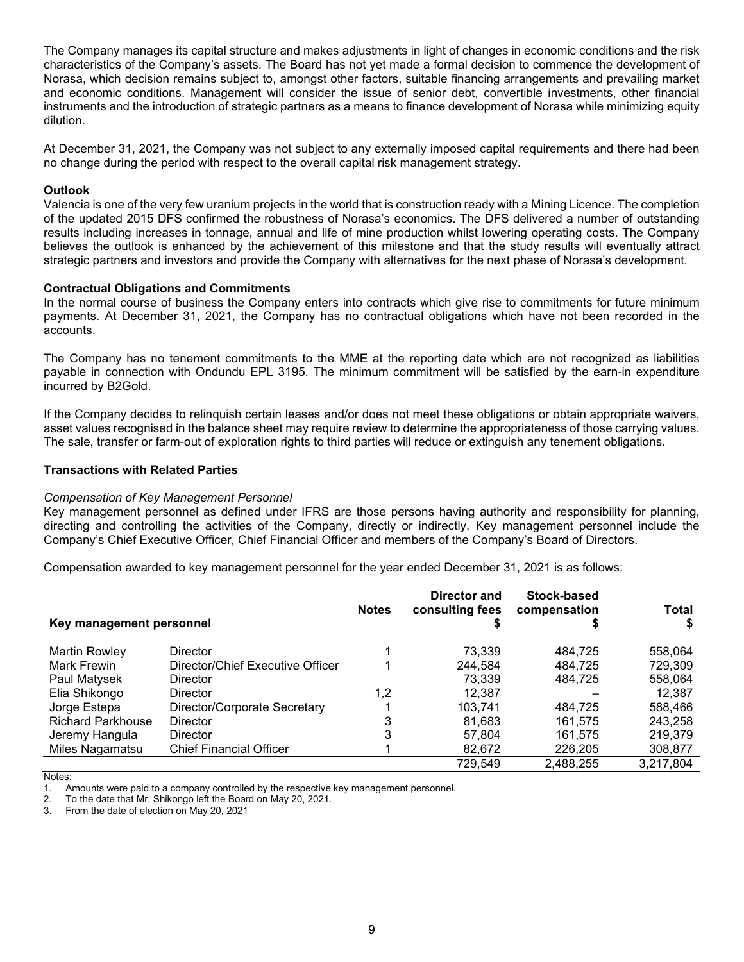The Company manages its capital structure and makes adjustments in light of changes in economic conditions and the risk characteristics of the Company's assets. The Board has not yet made a formal decision to commence the development of Norasa, which decision remains subject to, amongst other factors, suitable financing arrangements and prevailing market and economic conditions. Management will consider the issue of senior debt, convertible investments, other financial instruments and the introduction of strategic partners as a means to finance development of Norasa while minimizing equity dilution.

At December 31, 2021, the Company was not subject to any externally imposed capital requirements and there had been no change during the period with respect to the overall capital risk management strategy.

#### **Outlook**

Valencia is one of the very few uranium projects in the world that is construction ready with a Mining Licence. The completion of the updated 2015 DFS confirmed the robustness of Norasa's economics. The DFS delivered a number of outstanding results including increases in tonnage, annual and life of mine production whilst lowering operating costs. The Company believes the outlook is enhanced by the achievement of this milestone and that the study results will eventually attract strategic partners and investors and provide the Company with alternatives for the next phase of Norasa's development.

#### **Contractual Obligations and Commitments**

In the normal course of business the Company enters into contracts which give rise to commitments for future minimum payments. At December 31, 2021, the Company has no contractual obligations which have not been recorded in the accounts.

The Company has no tenement commitments to the MME at the reporting date which are not recognized as liabilities payable in connection with Ondundu EPL 3195. The minimum commitment will be satisfied by the earn-in expenditure incurred by B2Gold.

If the Company decides to relinquish certain leases and/or does not meet these obligations or obtain appropriate waivers, asset values recognised in the balance sheet may require review to determine the appropriateness of those carrying values. The sale, transfer or farm-out of exploration rights to third parties will reduce or extinguish any tenement obligations.

#### **Transactions with Related Parties**

#### *Compensation of Key Management Personnel*

Key management personnel as defined under IFRS are those persons having authority and responsibility for planning, directing and controlling the activities of the Company, directly or indirectly. Key management personnel include the Company's Chief Executive Officer, Chief Financial Officer and members of the Company's Board of Directors.

Compensation awarded to key management personnel for the year ended December 31, 2021 is as follows:

| Key management personnel |                                  | <b>Notes</b> | Director and<br>consulting fees | Stock-based<br>compensation | <b>Total</b> |
|--------------------------|----------------------------------|--------------|---------------------------------|-----------------------------|--------------|
| <b>Martin Rowley</b>     | <b>Director</b>                  |              | 73.339                          | 484.725                     | 558,064      |
| Mark Frewin              | Director/Chief Executive Officer |              | 244.584                         | 484.725                     | 729,309      |
| Paul Matysek             | <b>Director</b>                  |              | 73.339                          | 484.725                     | 558,064      |
| Elia Shikongo            | <b>Director</b>                  | 1,2          | 12.387                          |                             | 12,387       |
| Jorge Estepa             | Director/Corporate Secretary     |              | 103.741                         | 484.725                     | 588,466      |
| <b>Richard Parkhouse</b> | <b>Director</b>                  | 3            | 81,683                          | 161.575                     | 243.258      |
| Jeremy Hangula           | Director                         | 3            | 57.804                          | 161.575                     | 219,379      |
| Miles Nagamatsu          | <b>Chief Financial Officer</b>   |              | 82,672                          | 226,205                     | 308,877      |
|                          |                                  |              | 729,549                         | 2.488.255                   | 3,217,804    |

Notes:<br>1 A

<sup>1.</sup> Amounts were paid to a company controlled by the respective key management personnel.

<sup>2.</sup> To the date that Mr. Shikongo left the Board on May 20, 2021.

<sup>3.</sup> From the date of election on May 20, 2021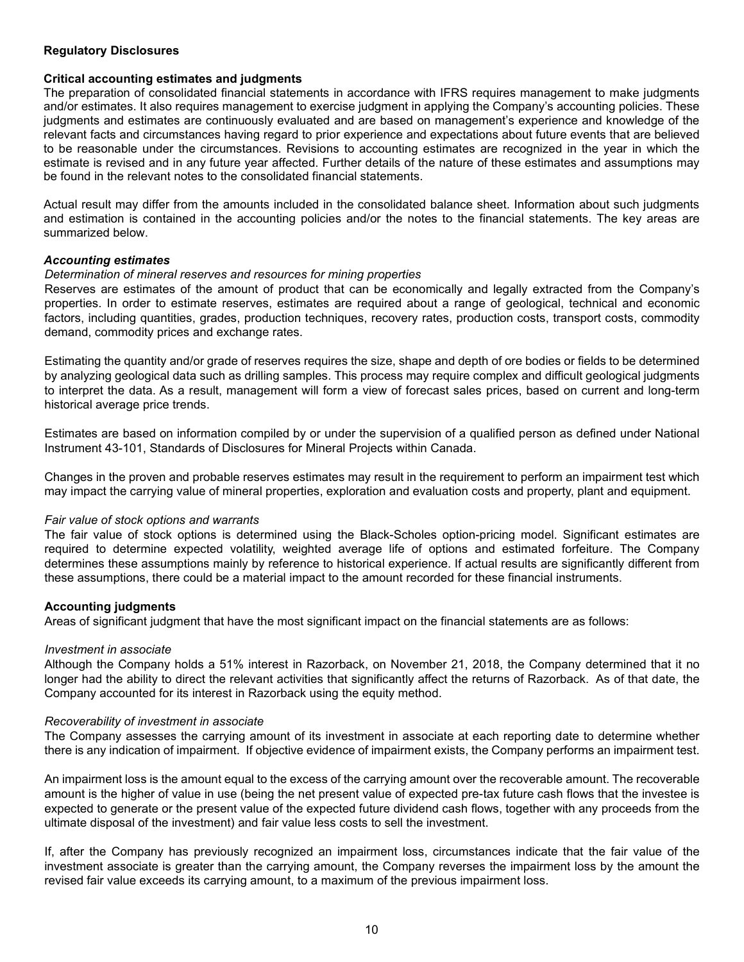# **Regulatory Disclosures**

#### **Critical accounting estimates and judgments**

The preparation of consolidated financial statements in accordance with IFRS requires management to make judgments and/or estimates. It also requires management to exercise judgment in applying the Company's accounting policies. These judgments and estimates are continuously evaluated and are based on management's experience and knowledge of the relevant facts and circumstances having regard to prior experience and expectations about future events that are believed to be reasonable under the circumstances. Revisions to accounting estimates are recognized in the year in which the estimate is revised and in any future year affected. Further details of the nature of these estimates and assumptions may be found in the relevant notes to the consolidated financial statements.

Actual result may differ from the amounts included in the consolidated balance sheet. Information about such judgments and estimation is contained in the accounting policies and/or the notes to the financial statements. The key areas are summarized below.

#### *Accounting estimates*

#### *Determination of mineral reserves and resources for mining properties*

Reserves are estimates of the amount of product that can be economically and legally extracted from the Company's properties. In order to estimate reserves, estimates are required about a range of geological, technical and economic factors, including quantities, grades, production techniques, recovery rates, production costs, transport costs, commodity demand, commodity prices and exchange rates.

Estimating the quantity and/or grade of reserves requires the size, shape and depth of ore bodies or fields to be determined by analyzing geological data such as drilling samples. This process may require complex and difficult geological judgments to interpret the data. As a result, management will form a view of forecast sales prices, based on current and long-term historical average price trends.

Estimates are based on information compiled by or under the supervision of a qualified person as defined under National Instrument 43-101, Standards of Disclosures for Mineral Projects within Canada.

Changes in the proven and probable reserves estimates may result in the requirement to perform an impairment test which may impact the carrying value of mineral properties, exploration and evaluation costs and property, plant and equipment.

#### *Fair value of stock options and warrants*

The fair value of stock options is determined using the Black-Scholes option-pricing model. Significant estimates are required to determine expected volatility, weighted average life of options and estimated forfeiture. The Company determines these assumptions mainly by reference to historical experience. If actual results are significantly different from these assumptions, there could be a material impact to the amount recorded for these financial instruments.

#### **Accounting judgments**

Areas of significant judgment that have the most significant impact on the financial statements are as follows:

#### *Investment in associate*

Although the Company holds a 51% interest in Razorback, on November 21, 2018, the Company determined that it no longer had the ability to direct the relevant activities that significantly affect the returns of Razorback. As of that date, the Company accounted for its interest in Razorback using the equity method.

#### *Recoverability of investment in associate*

The Company assesses the carrying amount of its investment in associate at each reporting date to determine whether there is any indication of impairment. If objective evidence of impairment exists, the Company performs an impairment test.

An impairment loss is the amount equal to the excess of the carrying amount over the recoverable amount. The recoverable amount is the higher of value in use (being the net present value of expected pre-tax future cash flows that the investee is expected to generate or the present value of the expected future dividend cash flows, together with any proceeds from the ultimate disposal of the investment) and fair value less costs to sell the investment.

If, after the Company has previously recognized an impairment loss, circumstances indicate that the fair value of the investment associate is greater than the carrying amount, the Company reverses the impairment loss by the amount the revised fair value exceeds its carrying amount, to a maximum of the previous impairment loss.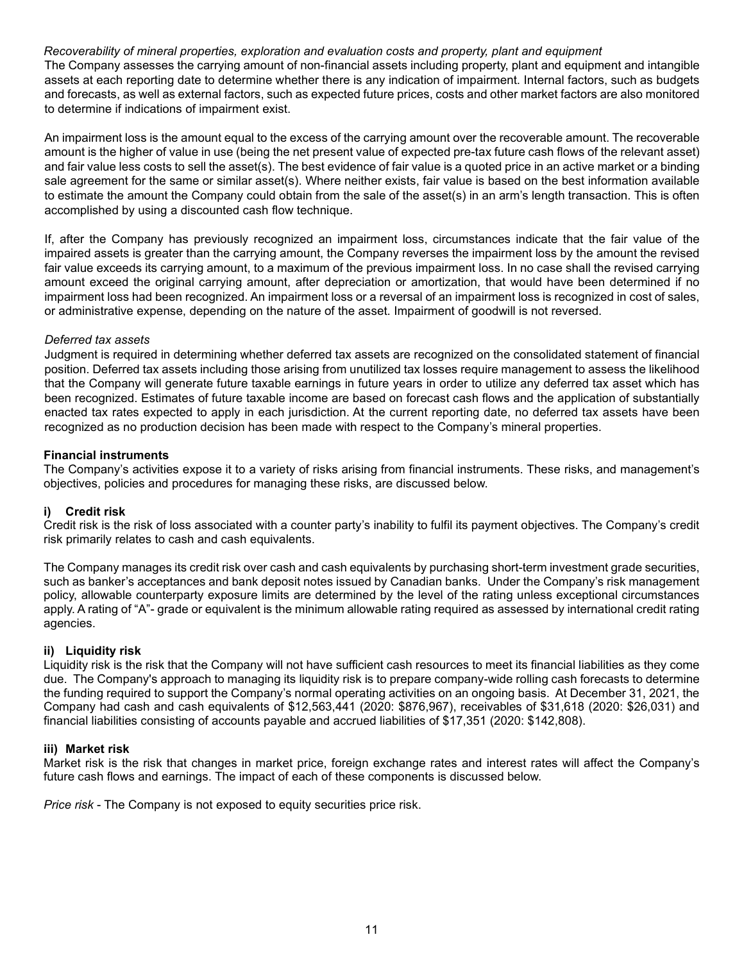# *Recoverability of mineral properties, exploration and evaluation costs and property, plant and equipment*

The Company assesses the carrying amount of non-financial assets including property, plant and equipment and intangible assets at each reporting date to determine whether there is any indication of impairment. Internal factors, such as budgets and forecasts, as well as external factors, such as expected future prices, costs and other market factors are also monitored to determine if indications of impairment exist.

An impairment loss is the amount equal to the excess of the carrying amount over the recoverable amount. The recoverable amount is the higher of value in use (being the net present value of expected pre-tax future cash flows of the relevant asset) and fair value less costs to sell the asset(s). The best evidence of fair value is a quoted price in an active market or a binding sale agreement for the same or similar asset(s). Where neither exists, fair value is based on the best information available to estimate the amount the Company could obtain from the sale of the asset(s) in an arm's length transaction. This is often accomplished by using a discounted cash flow technique.

If, after the Company has previously recognized an impairment loss, circumstances indicate that the fair value of the impaired assets is greater than the carrying amount, the Company reverses the impairment loss by the amount the revised fair value exceeds its carrying amount, to a maximum of the previous impairment loss. In no case shall the revised carrying amount exceed the original carrying amount, after depreciation or amortization, that would have been determined if no impairment loss had been recognized. An impairment loss or a reversal of an impairment loss is recognized in cost of sales, or administrative expense, depending on the nature of the asset. Impairment of goodwill is not reversed.

# *Deferred tax assets*

Judgment is required in determining whether deferred tax assets are recognized on the consolidated statement of financial position. Deferred tax assets including those arising from unutilized tax losses require management to assess the likelihood that the Company will generate future taxable earnings in future years in order to utilize any deferred tax asset which has been recognized. Estimates of future taxable income are based on forecast cash flows and the application of substantially enacted tax rates expected to apply in each jurisdiction. At the current reporting date, no deferred tax assets have been recognized as no production decision has been made with respect to the Company's mineral properties.

# **Financial instruments**

The Company's activities expose it to a variety of risks arising from financial instruments. These risks, and management's objectives, policies and procedures for managing these risks, are discussed below.

# **i) Credit risk**

Credit risk is the risk of loss associated with a counter party's inability to fulfil its payment objectives. The Company's credit risk primarily relates to cash and cash equivalents.

The Company manages its credit risk over cash and cash equivalents by purchasing short-term investment grade securities, such as banker's acceptances and bank deposit notes issued by Canadian banks. Under the Company's risk management policy, allowable counterparty exposure limits are determined by the level of the rating unless exceptional circumstances apply. A rating of "A"- grade or equivalent is the minimum allowable rating required as assessed by international credit rating agencies.

# **ii) Liquidity risk**

Liquidity risk is the risk that the Company will not have sufficient cash resources to meet its financial liabilities as they come due. The Company's approach to managing its liquidity risk is to prepare company-wide rolling cash forecasts to determine the funding required to support the Company's normal operating activities on an ongoing basis. At December 31, 2021, the Company had cash and cash equivalents of \$12,563,441 (2020: \$876,967), receivables of \$31,618 (2020: \$26,031) and financial liabilities consisting of accounts payable and accrued liabilities of \$17,351 (2020: \$142,808).

#### **iii) Market risk**

Market risk is the risk that changes in market price, foreign exchange rates and interest rates will affect the Company's future cash flows and earnings. The impact of each of these components is discussed below.

*Price risk* - The Company is not exposed to equity securities price risk.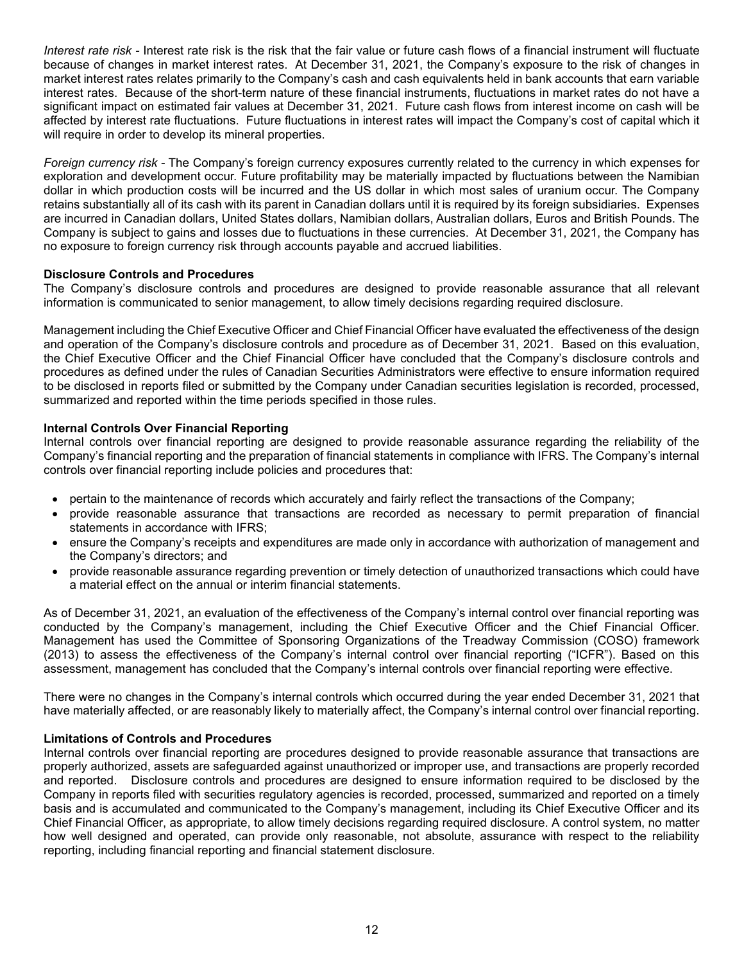*Interest rate risk -* Interest rate risk is the risk that the fair value or future cash flows of a financial instrument will fluctuate because of changes in market interest rates. At December 31, 2021, the Company's exposure to the risk of changes in market interest rates relates primarily to the Company's cash and cash equivalents held in bank accounts that earn variable interest rates. Because of the short-term nature of these financial instruments, fluctuations in market rates do not have a significant impact on estimated fair values at December 31, 2021. Future cash flows from interest income on cash will be affected by interest rate fluctuations. Future fluctuations in interest rates will impact the Company's cost of capital which it will require in order to develop its mineral properties.

*Foreign currency risk -* The Company's foreign currency exposures currently related to the currency in which expenses for exploration and development occur. Future profitability may be materially impacted by fluctuations between the Namibian dollar in which production costs will be incurred and the US dollar in which most sales of uranium occur. The Company retains substantially all of its cash with its parent in Canadian dollars until it is required by its foreign subsidiaries. Expenses are incurred in Canadian dollars, United States dollars, Namibian dollars, Australian dollars, Euros and British Pounds. The Company is subject to gains and losses due to fluctuations in these currencies. At December 31, 2021, the Company has no exposure to foreign currency risk through accounts payable and accrued liabilities.

# **Disclosure Controls and Procedures**

The Company's disclosure controls and procedures are designed to provide reasonable assurance that all relevant information is communicated to senior management, to allow timely decisions regarding required disclosure.

Management including the Chief Executive Officer and Chief Financial Officer have evaluated the effectiveness of the design and operation of the Company's disclosure controls and procedure as of December 31, 2021. Based on this evaluation, the Chief Executive Officer and the Chief Financial Officer have concluded that the Company's disclosure controls and procedures as defined under the rules of Canadian Securities Administrators were effective to ensure information required to be disclosed in reports filed or submitted by the Company under Canadian securities legislation is recorded, processed, summarized and reported within the time periods specified in those rules.

# **Internal Controls Over Financial Reporting**

Internal controls over financial reporting are designed to provide reasonable assurance regarding the reliability of the Company's financial reporting and the preparation of financial statements in compliance with IFRS. The Company's internal controls over financial reporting include policies and procedures that:

- pertain to the maintenance of records which accurately and fairly reflect the transactions of the Company;
- provide reasonable assurance that transactions are recorded as necessary to permit preparation of financial statements in accordance with IFRS;
- ensure the Company's receipts and expenditures are made only in accordance with authorization of management and the Company's directors; and
- provide reasonable assurance regarding prevention or timely detection of unauthorized transactions which could have a material effect on the annual or interim financial statements.

As of December 31, 2021, an evaluation of the effectiveness of the Company's internal control over financial reporting was conducted by the Company's management, including the Chief Executive Officer and the Chief Financial Officer. Management has used the Committee of Sponsoring Organizations of the Treadway Commission (COSO) framework (2013) to assess the effectiveness of the Company's internal control over financial reporting ("ICFR"). Based on this assessment, management has concluded that the Company's internal controls over financial reporting were effective.

There were no changes in the Company's internal controls which occurred during the year ended December 31, 2021 that have materially affected, or are reasonably likely to materially affect, the Company's internal control over financial reporting.

#### **Limitations of Controls and Procedures**

Internal controls over financial reporting are procedures designed to provide reasonable assurance that transactions are properly authorized, assets are safeguarded against unauthorized or improper use, and transactions are properly recorded and reported. Disclosure controls and procedures are designed to ensure information required to be disclosed by the Company in reports filed with securities regulatory agencies is recorded, processed, summarized and reported on a timely basis and is accumulated and communicated to the Company's management, including its Chief Executive Officer and its Chief Financial Officer, as appropriate, to allow timely decisions regarding required disclosure. A control system, no matter how well designed and operated, can provide only reasonable, not absolute, assurance with respect to the reliability reporting, including financial reporting and financial statement disclosure.